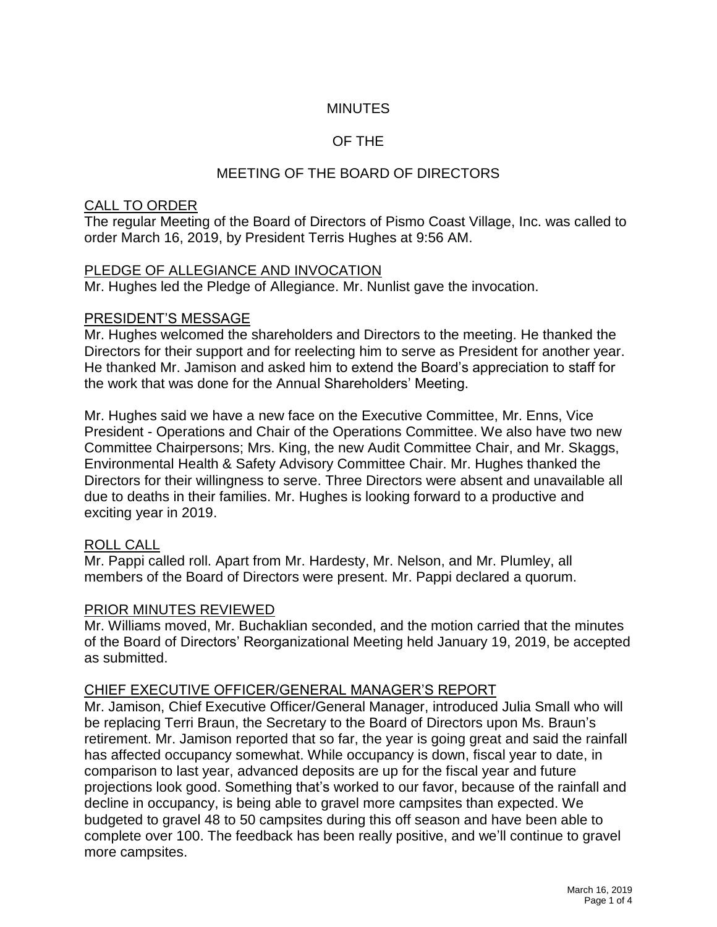## **MINUTES**

# OF THE

# MEETING OF THE BOARD OF DIRECTORS

#### CALL TO ORDER

The regular Meeting of the Board of Directors of Pismo Coast Village, Inc. was called to order March 16, 2019, by President Terris Hughes at 9:56 AM.

#### PLEDGE OF ALLEGIANCE AND INVOCATION

Mr. Hughes led the Pledge of Allegiance. Mr. Nunlist gave the invocation.

#### PRESIDENT'S MESSAGE

Mr. Hughes welcomed the shareholders and Directors to the meeting. He thanked the Directors for their support and for reelecting him to serve as President for another year. He thanked Mr. Jamison and asked him to extend the Board's appreciation to staff for the work that was done for the Annual Shareholders' Meeting.

Mr. Hughes said we have a new face on the Executive Committee, Mr. Enns, Vice President - Operations and Chair of the Operations Committee. We also have two new Committee Chairpersons; Mrs. King, the new Audit Committee Chair, and Mr. Skaggs, Environmental Health & Safety Advisory Committee Chair. Mr. Hughes thanked the Directors for their willingness to serve. Three Directors were absent and unavailable all due to deaths in their families. Mr. Hughes is looking forward to a productive and exciting year in 2019.

### ROLL CALL

Mr. Pappi called roll. Apart from Mr. Hardesty, Mr. Nelson, and Mr. Plumley, all members of the Board of Directors were present. Mr. Pappi declared a quorum.

### PRIOR MINUTES REVIEWED

Mr. Williams moved, Mr. Buchaklian seconded, and the motion carried that the minutes of the Board of Directors' Reorganizational Meeting held January 19, 2019, be accepted as submitted.

### CHIEF EXECUTIVE OFFICER/GENERAL MANAGER'S REPORT

Mr. Jamison, Chief Executive Officer/General Manager, introduced Julia Small who will be replacing Terri Braun, the Secretary to the Board of Directors upon Ms. Braun's retirement. Mr. Jamison reported that so far, the year is going great and said the rainfall has affected occupancy somewhat. While occupancy is down, fiscal year to date, in comparison to last year, advanced deposits are up for the fiscal year and future projections look good. Something that's worked to our favor, because of the rainfall and decline in occupancy, is being able to gravel more campsites than expected. We budgeted to gravel 48 to 50 campsites during this off season and have been able to complete over 100. The feedback has been really positive, and we'll continue to gravel more campsites.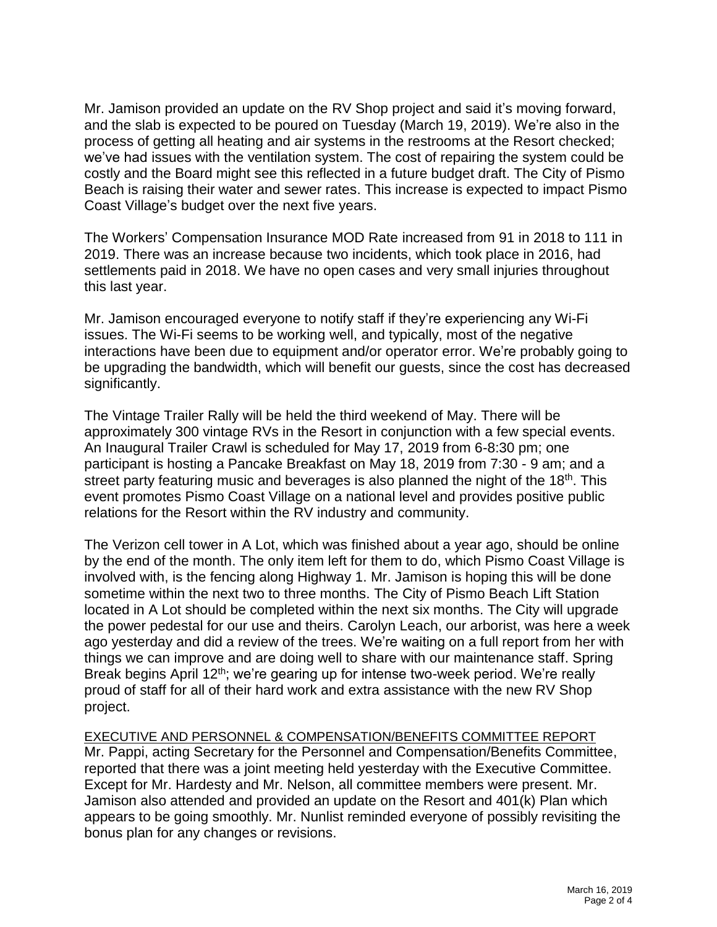Mr. Jamison provided an update on the RV Shop project and said it's moving forward, and the slab is expected to be poured on Tuesday (March 19, 2019). We're also in the process of getting all heating and air systems in the restrooms at the Resort checked; we've had issues with the ventilation system. The cost of repairing the system could be costly and the Board might see this reflected in a future budget draft. The City of Pismo Beach is raising their water and sewer rates. This increase is expected to impact Pismo Coast Village's budget over the next five years.

The Workers' Compensation Insurance MOD Rate increased from 91 in 2018 to 111 in 2019. There was an increase because two incidents, which took place in 2016, had settlements paid in 2018. We have no open cases and very small injuries throughout this last year.

Mr. Jamison encouraged everyone to notify staff if they're experiencing any Wi-Fi issues. The Wi-Fi seems to be working well, and typically, most of the negative interactions have been due to equipment and/or operator error. We're probably going to be upgrading the bandwidth, which will benefit our guests, since the cost has decreased significantly.

The Vintage Trailer Rally will be held the third weekend of May. There will be approximately 300 vintage RVs in the Resort in conjunction with a few special events. An Inaugural Trailer Crawl is scheduled for May 17, 2019 from 6-8:30 pm; one participant is hosting a Pancake Breakfast on May 18, 2019 from 7:30 - 9 am; and a street party featuring music and beverages is also planned the night of the 18<sup>th</sup>. This event promotes Pismo Coast Village on a national level and provides positive public relations for the Resort within the RV industry and community.

The Verizon cell tower in A Lot, which was finished about a year ago, should be online by the end of the month. The only item left for them to do, which Pismo Coast Village is involved with, is the fencing along Highway 1. Mr. Jamison is hoping this will be done sometime within the next two to three months. The City of Pismo Beach Lift Station located in A Lot should be completed within the next six months. The City will upgrade the power pedestal for our use and theirs. Carolyn Leach, our arborist, was here a week ago yesterday and did a review of the trees. We're waiting on a full report from her with things we can improve and are doing well to share with our maintenance staff. Spring Break begins April 12<sup>th</sup>; we're gearing up for intense two-week period. We're really proud of staff for all of their hard work and extra assistance with the new RV Shop project.

EXECUTIVE AND PERSONNEL & COMPENSATION/BENEFITS COMMITTEE REPORT Mr. Pappi, acting Secretary for the Personnel and Compensation/Benefits Committee, reported that there was a joint meeting held yesterday with the Executive Committee. Except for Mr. Hardesty and Mr. Nelson, all committee members were present. Mr. Jamison also attended and provided an update on the Resort and 401(k) Plan which appears to be going smoothly. Mr. Nunlist reminded everyone of possibly revisiting the bonus plan for any changes or revisions.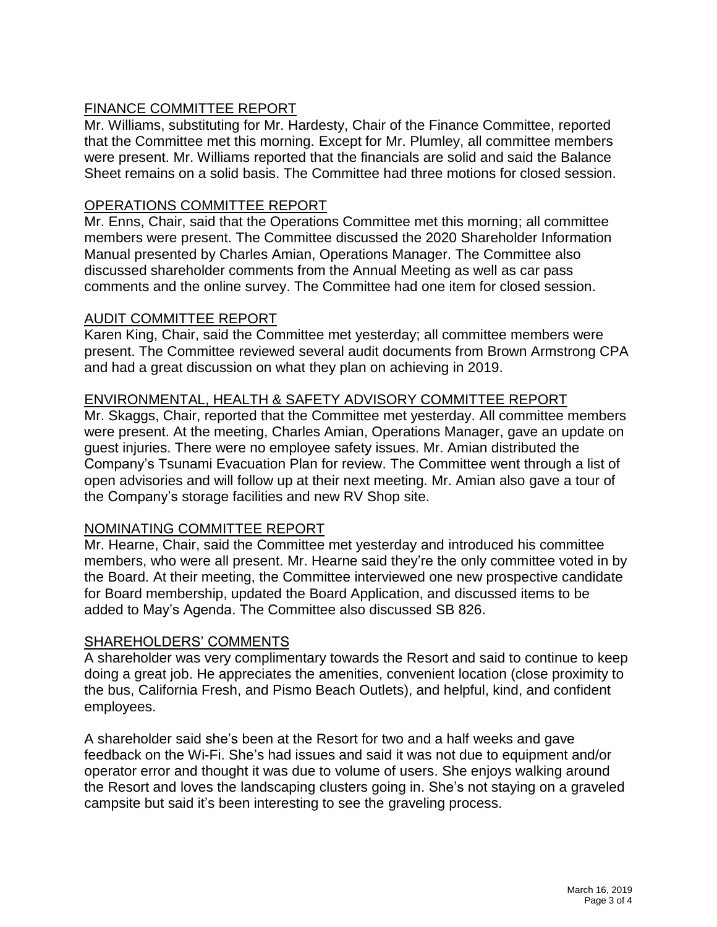# FINANCE COMMITTEE REPORT

Mr. Williams, substituting for Mr. Hardesty, Chair of the Finance Committee, reported that the Committee met this morning. Except for Mr. Plumley, all committee members were present. Mr. Williams reported that the financials are solid and said the Balance Sheet remains on a solid basis. The Committee had three motions for closed session.

#### OPERATIONS COMMITTEE REPORT

Mr. Enns, Chair, said that the Operations Committee met this morning; all committee members were present. The Committee discussed the 2020 Shareholder Information Manual presented by Charles Amian, Operations Manager. The Committee also discussed shareholder comments from the Annual Meeting as well as car pass comments and the online survey. The Committee had one item for closed session.

#### AUDIT COMMITTEE REPORT

Karen King, Chair, said the Committee met yesterday; all committee members were present. The Committee reviewed several audit documents from Brown Armstrong CPA and had a great discussion on what they plan on achieving in 2019.

### ENVIRONMENTAL, HEALTH & SAFETY ADVISORY COMMITTEE REPORT

Mr. Skaggs, Chair, reported that the Committee met yesterday. All committee members were present. At the meeting, Charles Amian, Operations Manager, gave an update on guest injuries. There were no employee safety issues. Mr. Amian distributed the Company's Tsunami Evacuation Plan for review. The Committee went through a list of open advisories and will follow up at their next meeting. Mr. Amian also gave a tour of the Company's storage facilities and new RV Shop site.

#### NOMINATING COMMITTEE REPORT

Mr. Hearne, Chair, said the Committee met yesterday and introduced his committee members, who were all present. Mr. Hearne said they're the only committee voted in by the Board. At their meeting, the Committee interviewed one new prospective candidate for Board membership, updated the Board Application, and discussed items to be added to May's Agenda. The Committee also discussed SB 826.

### SHAREHOLDERS' COMMENTS

A shareholder was very complimentary towards the Resort and said to continue to keep doing a great job. He appreciates the amenities, convenient location (close proximity to the bus, California Fresh, and Pismo Beach Outlets), and helpful, kind, and confident employees.

A shareholder said she's been at the Resort for two and a half weeks and gave feedback on the Wi-Fi. She's had issues and said it was not due to equipment and/or operator error and thought it was due to volume of users. She enjoys walking around the Resort and loves the landscaping clusters going in. She's not staying on a graveled campsite but said it's been interesting to see the graveling process.